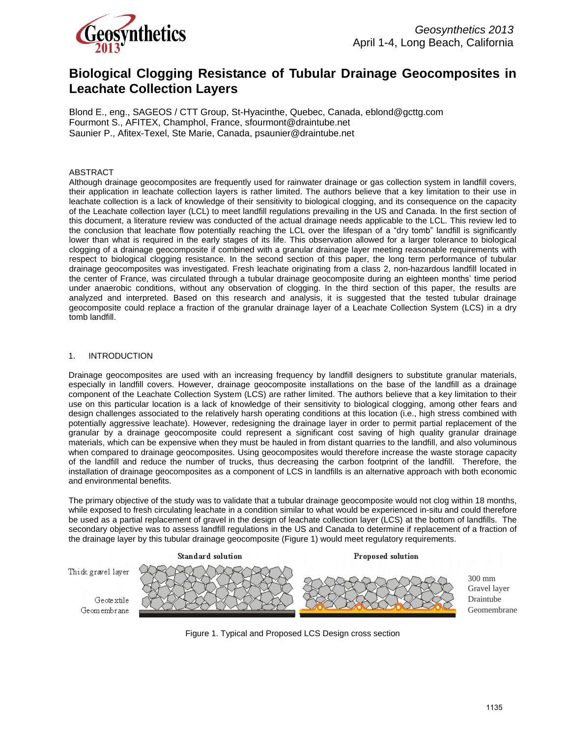

# **Biological Clogging Resistance of Tubular Drainage Geocomposites in Leachate Collection Layers**

Blond E., eng., SAGEOS / CTT Group, St-Hyacinthe, Quebec, Canada, eblond@gcttg.com Fourmont S., AFITEX, Champhol, France, sfourmont@draintube.net Saunier P., Afitex-Texel, Ste Marie, Canada, psaunier@draintube.net

# ABSTRACT

Although drainage geocomposites are frequently used for rainwater drainage or gas collection system in landfill covers, their application in leachate collection layers is rather limited. The authors believe that a key limitation to their use in leachate collection is a lack of knowledge of their sensitivity to biological clogging, and its consequence on the capacity of the Leachate collection layer (LCL) to meet landfill regulations prevailing in the US and Canada. In the first section of this document, a literature review was conducted of the actual drainage needs applicable to the LCL. This review led to the conclusion that leachate flow potentially reaching the LCL over the lifespan of a "dry tomb" landfill is significantly lower than what is required in the early stages of its life. This observation allowed for a larger tolerance to biological clogging of a drainage geocomposite if combined with a granular drainage layer meeting reasonable requirements with respect to biological clogging resistance. In the second section of this paper, the long term performance of tubular drainage geocomposites was investigated. Fresh leachate originating from a class 2, non-hazardous landfill located in the center of France, was circulated through a tubular drainage geocomposite during an eighteen months' time period under anaerobic conditions, without any observation of clogging. In the third section of this paper, the results are analyzed and interpreted. Based on this research and analysis, it is suggested that the tested tubular drainage geocomposite could replace a fraction of the granular drainage layer of a Leachate Collection System (LCS) in a dry tomb landfill.

# 1. INTRODUCTION

Drainage geocomposites are used with an increasing frequency by landfill designers to substitute granular materials, especially in landfill covers. However, drainage geocomposite installations on the base of the landfill as a drainage component of the Leachate Collection System (LCS) are rather limited. The authors believe that a key limitation to their use on this particular location is a lack of knowledge of their sensitivity to biological clogging, among other fears and design challenges associated to the relatively harsh operating conditions at this location (i.e., high stress combined with potentially aggressive leachate). However, redesigning the drainage layer in order to permit partial replacement of the granular by a drainage geocomposite could represent a significant cost saving of high quality granular drainage materials, which can be expensive when they must be hauled in from distant quarries to the landfill, and also voluminous when compared to drainage geocomposites. Using geocomposites would therefore increase the waste storage capacity of the landfill and reduce the number of trucks, thus decreasing the carbon footprint of the landfill. Therefore, the installation of drainage geocomposites as a component of LCS in landfills is an alternative approach with both economic and environmental benefits.

The primary objective of the study was to validate that a tubular drainage geocomposite would not clog within 18 months, while exposed to fresh circulating leachate in a condition similar to what would be experienced in-situ and could therefore be used as a partial replacement of gravel in the design of leachate collection layer (LCS) at the bottom of landfills. The secondary objective was to assess landfill regulations in the US and Canada to determine if replacement of a fraction of the drainage layer by this tubular drainage geocomposite (Figure 1) would meet regulatory requirements.



Figure 1. Typical and Proposed LCS Design cross section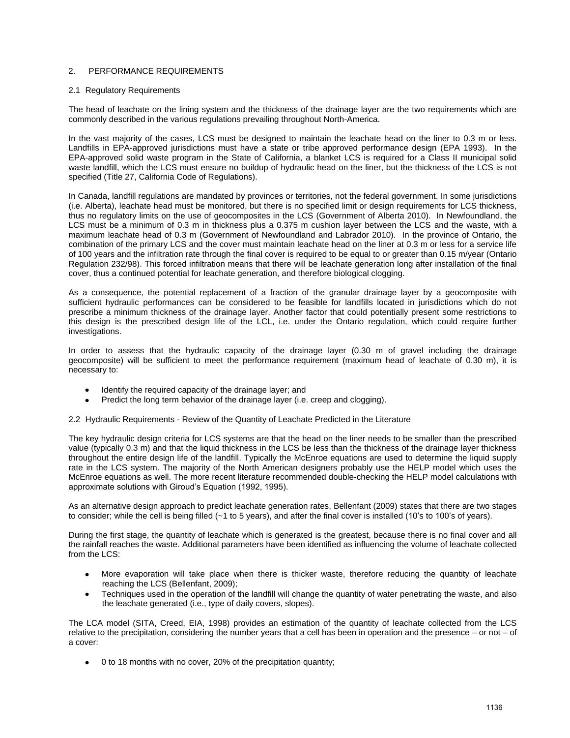# 2. PERFORMANCE REQUIREMENTS

#### 2.1 Regulatory Requirements

The head of leachate on the lining system and the thickness of the drainage layer are the two requirements which are commonly described in the various regulations prevailing throughout North-America.

In the vast majority of the cases, LCS must be designed to maintain the leachate head on the liner to 0.3 m or less. Landfills in EPA-approved jurisdictions must have a state or tribe approved performance design (EPA 1993). In the EPA-approved solid waste program in the State of California, a blanket LCS is required for a Class II municipal solid waste landfill, which the LCS must ensure no buildup of hydraulic head on the liner, but the thickness of the LCS is not specified (Title 27, California Code of Regulations).

In Canada, landfill regulations are mandated by provinces or territories, not the federal government. In some jurisdictions (i.e. Alberta), leachate head must be monitored, but there is no specified limit or design requirements for LCS thickness, thus no regulatory limits on the use of geocomposites in the LCS (Government of Alberta 2010). In Newfoundland, the LCS must be a minimum of 0.3 m in thickness plus a 0.375 m cushion layer between the LCS and the waste, with a maximum leachate head of 0.3 m (Government of Newfoundland and Labrador 2010). In the province of Ontario, the combination of the primary LCS and the cover must maintain leachate head on the liner at 0.3 m or less for a service life of 100 years and the infiltration rate through the final cover is required to be equal to or greater than 0.15 m/year (Ontario Regulation 232/98). This forced infiltration means that there will be leachate generation long after installation of the final cover, thus a continued potential for leachate generation, and therefore biological clogging.

As a consequence, the potential replacement of a fraction of the granular drainage layer by a geocomposite with sufficient hydraulic performances can be considered to be feasible for landfills located in jurisdictions which do not prescribe a minimum thickness of the drainage layer. Another factor that could potentially present some restrictions to this design is the prescribed design life of the LCL, i.e. under the Ontario regulation, which could require further investigations.

In order to assess that the hydraulic capacity of the drainage layer (0.30 m of gravel including the drainage geocomposite) will be sufficient to meet the performance requirement (maximum head of leachate of 0.30 m), it is necessary to:

- Identify the required capacity of the drainage layer; and
- Predict the long term behavior of the drainage layer (i.e. creep and clogging).

2.2 Hydraulic Requirements - Review of the Quantity of Leachate Predicted in the Literature

The key hydraulic design criteria for LCS systems are that the head on the liner needs to be smaller than the prescribed value (typically 0.3 m) and that the liquid thickness in the LCS be less than the thickness of the drainage layer thickness throughout the entire design life of the landfill. Typically the McEnroe equations are used to determine the liquid supply rate in the LCS system. The majority of the North American designers probably use the HELP model which uses the McEnroe equations as well. The more recent literature recommended double-checking the HELP model calculations with approximate solutions with Giroud's Equation (1992, 1995).

As an alternative design approach to predict leachate generation rates, Bellenfant (2009) states that there are two stages to consider; while the cell is being filled (~1 to 5 years), and after the final cover is installed (10's to 100's of years).

During the first stage, the quantity of leachate which is generated is the greatest, because there is no final cover and all the rainfall reaches the waste. Additional parameters have been identified as influencing the volume of leachate collected from the LCS:

- More evaporation will take place when there is thicker waste, therefore reducing the quantity of leachate reaching the LCS (Bellenfant, 2009);
- Techniques used in the operation of the landfill will change the quantity of water penetrating the waste, and also the leachate generated (i.e., type of daily covers, slopes).

The LCA model (SITA, Creed, EIA, 1998) provides an estimation of the quantity of leachate collected from the LCS relative to the precipitation, considering the number years that a cell has been in operation and the presence – or not – of a cover:

0 to 18 months with no cover, 20% of the precipitation quantity;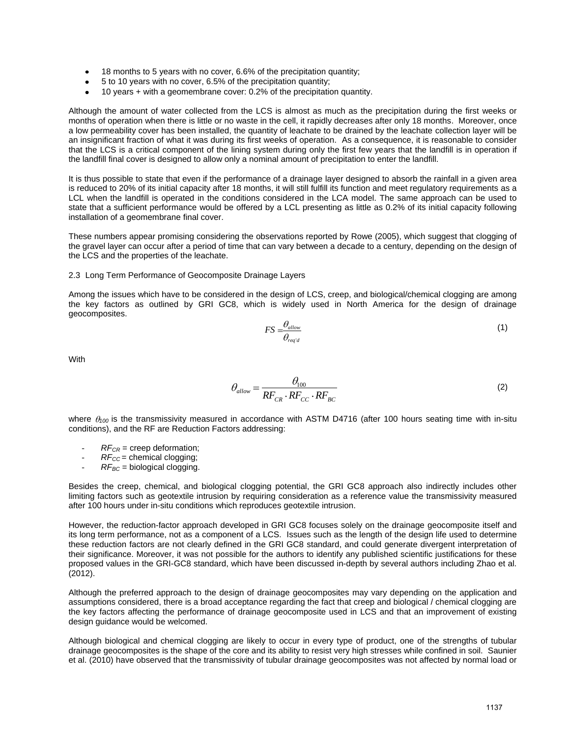- 18 months to 5 years with no cover, 6.6% of the precipitation quantity;
- 5 to 10 years with no cover, 6.5% of the precipitation quantity;
- 10 years + with a geomembrane cover: 0.2% of the precipitation quantity.

Although the amount of water collected from the LCS is almost as much as the precipitation during the first weeks or months of operation when there is little or no waste in the cell, it rapidly decreases after only 18 months. Moreover, once a low permeability cover has been installed, the quantity of leachate to be drained by the leachate collection layer will be an insignificant fraction of what it was during its first weeks of operation. As a consequence, it is reasonable to consider that the LCS is a critical component of the lining system during only the first few years that the landfill is in operation if the landfill final cover is designed to allow only a nominal amount of precipitation to enter the landfill.

It is thus possible to state that even if the performance of a drainage layer designed to absorb the rainfall in a given area is reduced to 20% of its initial capacity after 18 months, it will still fulfill its function and meet regulatory requirements as a LCL when the landfill is operated in the conditions considered in the LCA model. The same approach can be used to state that a sufficient performance would be offered by a LCL presenting as little as 0.2% of its initial capacity following installation of a geomembrane final cover.

These numbers appear promising considering the observations reported by Rowe (2005), which suggest that clogging of the gravel layer can occur after a period of time that can vary between a decade to a century, depending on the design of the LCS and the properties of the leachate.

#### 2.3 Long Term Performance of Geocomposite Drainage Layers

Among the issues which have to be considered in the design of LCS, creep, and biological/chemical clogging are among the key factors as outlined by GRI GC8, which is widely used in North America for the design of drainage geocomposites.

$$
FS = \frac{\theta_{\text{allow}}}{\theta_{\text{req'}d}} \tag{1}
$$

With

$$
\theta_{\text{allow}} = \frac{\theta_{100}}{R F_{\text{CR}} \cdot R F_{\text{CC}} \cdot R F_{\text{BC}}}
$$
\n(2)

where  $\theta_{100}$  is the transmissivity measured in accordance with ASTM D4716 (after 100 hours seating time with in-situ conditions), and the RF are Reduction Factors addressing:

- $RF_{CR}$  = creep deformation:
- *RF<sub>CC</sub>* = chemical clogging;
- $RF_{BC}$  = biological clogging.

Besides the creep, chemical, and biological clogging potential, the GRI GC8 approach also indirectly includes other limiting factors such as geotextile intrusion by requiring consideration as a reference value the transmissivity measured after 100 hours under in-situ conditions which reproduces geotextile intrusion.

However, the reduction-factor approach developed in GRI GC8 focuses solely on the drainage geocomposite itself and its long term performance, not as a component of a LCS. Issues such as the length of the design life used to determine these reduction factors are not clearly defined in the GRI GC8 standard, and could generate divergent interpretation of their significance. Moreover, it was not possible for the authors to identify any published scientific justifications for these proposed values in the GRI-GC8 standard, which have been discussed in-depth by several authors including Zhao et al. (2012).

Although the preferred approach to the design of drainage geocomposites may vary depending on the application and assumptions considered, there is a broad acceptance regarding the fact that creep and biological / chemical clogging are the key factors affecting the performance of drainage geocomposite used in LCS and that an improvement of existing design guidance would be welcomed.

Although biological and chemical clogging are likely to occur in every type of product, one of the strengths of tubular drainage geocomposites is the shape of the core and its ability to resist very high stresses while confined in soil. Saunier et al. (2010) have observed that the transmissivity of tubular drainage geocomposites was not affected by normal load or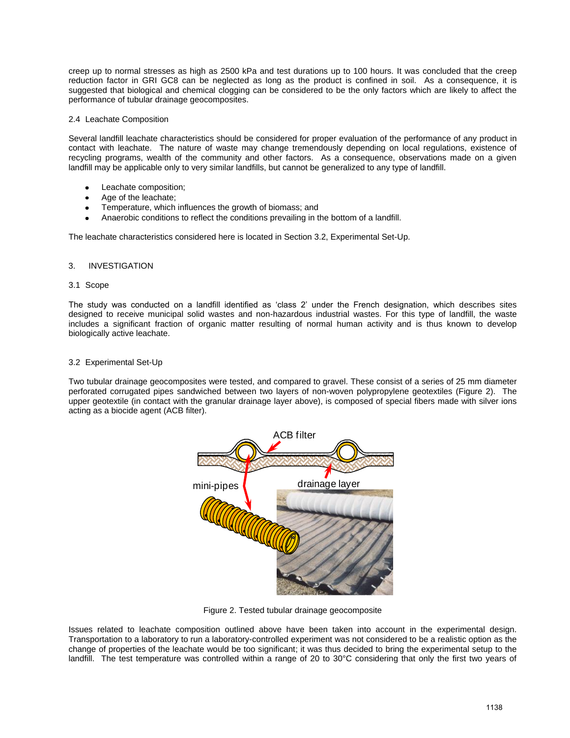creep up to normal stresses as high as 2500 kPa and test durations up to 100 hours. It was concluded that the creep reduction factor in GRI GC8 can be neglected as long as the product is confined in soil. As a consequence, it is suggested that biological and chemical clogging can be considered to be the only factors which are likely to affect the performance of tubular drainage geocomposites.

# 2.4 Leachate Composition

Several landfill leachate characteristics should be considered for proper evaluation of the performance of any product in contact with leachate. The nature of waste may change tremendously depending on local regulations, existence of recycling programs, wealth of the community and other factors. As a consequence, observations made on a given landfill may be applicable only to very similar landfills, but cannot be generalized to any type of landfill.

- Leachate composition;
- Age of the leachate;
- Temperature, which influences the growth of biomass; and
- Anaerobic conditions to reflect the conditions prevailing in the bottom of a landfill.

The leachate characteristics considered here is located in Section 3.2, Experimental Set-Up.

# 3. INVESTIGATION

#### 3.1 Scope

The study was conducted on a landfill identified as 'class 2' under the French designation, which describes sites designed to receive municipal solid wastes and non-hazardous industrial wastes. For this type of landfill, the waste includes a significant fraction of organic matter resulting of normal human activity and is thus known to develop biologically active leachate.

# 3.2 Experimental Set-Up

Two tubular drainage geocomposites were tested, and compared to gravel. These consist of a series of 25 mm diameter perforated corrugated pipes sandwiched between two layers of non-woven polypropylene geotextiles (Figure 2). The upper geotextile (in contact with the granular drainage layer above), is composed of special fibers made with silver ions acting as a biocide agent (ACB filter).



Figure 2. Tested tubular drainage geocomposite

Issues related to leachate composition outlined above have been taken into account in the experimental design. Transportation to a laboratory to run a laboratory-controlled experiment was not considered to be a realistic option as the change of properties of the leachate would be too significant; it was thus decided to bring the experimental setup to the landfill. The test temperature was controlled within a range of 20 to 30°C considering that only the first two years of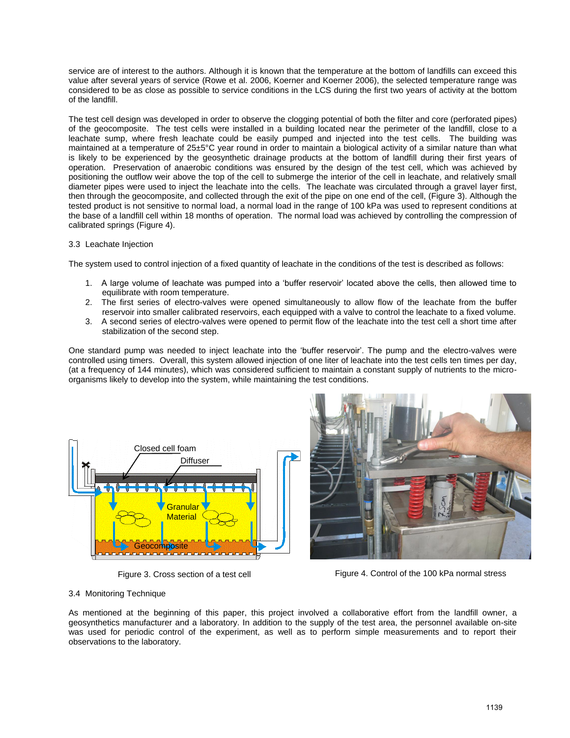service are of interest to the authors. Although it is known that the temperature at the bottom of landfills can exceed this value after several years of service (Rowe et al. 2006, Koerner and Koerner 2006), the selected temperature range was considered to be as close as possible to service conditions in the LCS during the first two years of activity at the bottom of the landfill.

The test cell design was developed in order to observe the clogging potential of both the filter and core (perforated pipes) of the geocomposite. The test cells were installed in a building located near the perimeter of the landfill, close to a leachate sump, where fresh leachate could be easily pumped and injected into the test cells. The building was maintained at a temperature of 25±5°C year round in order to maintain a biological activity of a similar nature than what is likely to be experienced by the geosynthetic drainage products at the bottom of landfill during their first years of operation. Preservation of anaerobic conditions was ensured by the design of the test cell, which was achieved by positioning the outflow weir above the top of the cell to submerge the interior of the cell in leachate, and relatively small diameter pipes were used to inject the leachate into the cells. The leachate was circulated through a gravel layer first, then through the geocomposite, and collected through the exit of the pipe on one end of the cell, (Figure 3). Although the tested product is not sensitive to normal load, a normal load in the range of 100 kPa was used to represent conditions at the base of a landfill cell within 18 months of operation. The normal load was achieved by controlling the compression of calibrated springs (Figure 4).

# 3.3 Leachate Injection

The system used to control injection of a fixed quantity of leachate in the conditions of the test is described as follows:

- 1. A large volume of leachate was pumped into a 'buffer reservoir' located above the cells, then allowed time to equilibrate with room temperature.
- 2. The first series of electro-valves were opened simultaneously to allow flow of the leachate from the buffer reservoir into smaller calibrated reservoirs, each equipped with a valve to control the leachate to a fixed volume.
- 3. A second series of electro-valves were opened to permit flow of the leachate into the test cell a short time after stabilization of the second step.

One standard pump was needed to inject leachate into the 'buffer reservoir'. The pump and the electro-valves were controlled using timers. Overall, this system allowed injection of one liter of leachate into the test cells ten times per day, (at a frequency of 144 minutes), which was considered sufficient to maintain a constant supply of nutrients to the microorganisms likely to develop into the system, while maintaining the test conditions.





Figure 3. Cross section of a test cell Figure 4. Control of the 100 kPa normal stress

# 3.4 Monitoring Technique

As mentioned at the beginning of this paper, this project involved a collaborative effort from the landfill owner, a geosynthetics manufacturer and a laboratory. In addition to the supply of the test area, the personnel available on-site was used for periodic control of the experiment, as well as to perform simple measurements and to report their observations to the laboratory.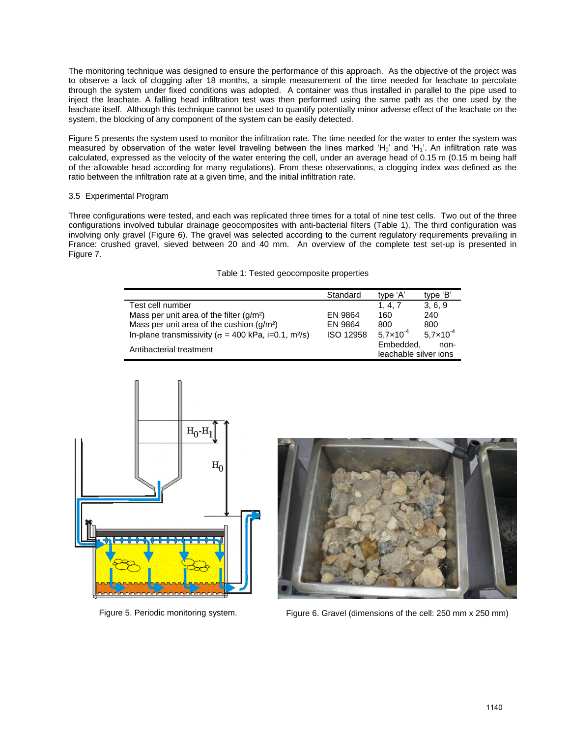The monitoring technique was designed to ensure the performance of this approach. As the objective of the project was to observe a lack of clogging after 18 months, a simple measurement of the time needed for leachate to percolate through the system under fixed conditions was adopted. A container was thus installed in parallel to the pipe used to inject the leachate. A falling head infiltration test was then performed using the same path as the one used by the leachate itself. Although this technique cannot be used to quantify potentially minor adverse effect of the leachate on the system, the blocking of any component of the system can be easily detected.

Figure 5 presents the system used to monitor the infiltration rate. The time needed for the water to enter the system was measured by observation of the water level traveling between the lines marked 'H<sub>0</sub>' and 'H<sub>1</sub>'. An infiltration rate was calculated, expressed as the velocity of the water entering the cell, under an average head of 0.15 m (0.15 m being half of the allowable head according for many regulations). From these observations, a clogging index was defined as the ratio between the infiltration rate at a given time, and the initial infiltration rate.

# 3.5 Experimental Program

Three configurations were tested, and each was replicated three times for a total of nine test cells. Two out of the three configurations involved tubular drainage geocomposites with anti-bacterial filters (Table 1). The third configuration was involving only gravel (Figure 6). The gravel was selected according to the current regulatory requirements prevailing in France: crushed gravel, sieved between 20 and 40 mm. An overview of the complete test set-up is presented in Figure 7.

| Table 1: Tested geocomposite properties |  |  |  |  |  |  |
|-----------------------------------------|--|--|--|--|--|--|
|-----------------------------------------|--|--|--|--|--|--|

|                                                                         | Standard  | type 'A'              | type 'B'             |
|-------------------------------------------------------------------------|-----------|-----------------------|----------------------|
| Test cell number                                                        |           | 1, 4, 7               | 3, 6, 9              |
| Mass per unit area of the filter $(q/m2)$                               | EN 9864   | 160                   | 240                  |
| Mass per unit area of the cushion $(g/m2)$                              | EN 9864   | 800                   | 800                  |
| In-plane transmissivity ( $\sigma$ = 400 kPa, i=0.1, m <sup>2</sup> /s) | ISO 12958 | $5.7 \times 10^{-4}$  | $5.7 \times 10^{-4}$ |
| Antibacterial treatment                                                 |           | Embedded,             | non-                 |
|                                                                         |           | leachable silver ions |                      |





Figure 5. Periodic monitoring system. Figure 6. Gravel (dimensions of the cell: 250 mm x 250 mm)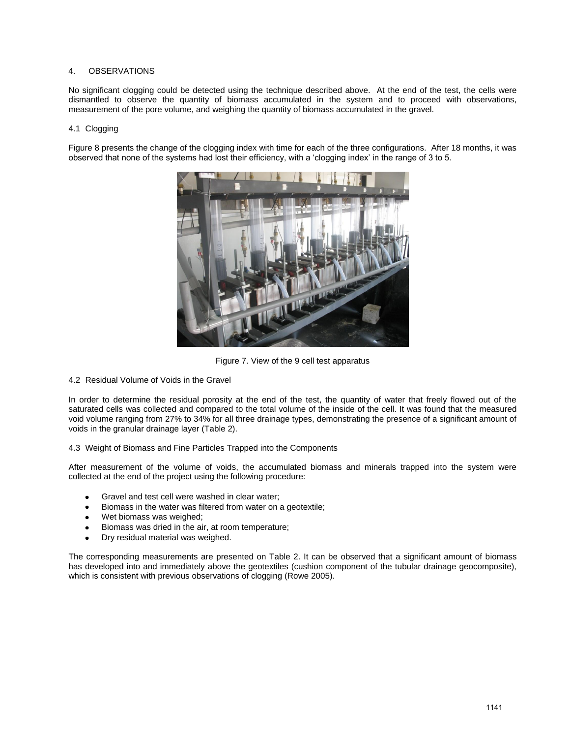# 4. OBSERVATIONS

No significant clogging could be detected using the technique described above. At the end of the test, the cells were dismantled to observe the quantity of biomass accumulated in the system and to proceed with observations, measurement of the pore volume, and weighing the quantity of biomass accumulated in the gravel.

#### 4.1 Clogging

Figure 8 presents the change of the clogging index with time for each of the three configurations. After 18 months, it was observed that none of the systems had lost their efficiency, with a 'clogging index' in the range of 3 to 5.



Figure 7. View of the 9 cell test apparatus

4.2 Residual Volume of Voids in the Gravel

In order to determine the residual porosity at the end of the test, the quantity of water that freely flowed out of the saturated cells was collected and compared to the total volume of the inside of the cell. It was found that the measured void volume ranging from 27% to 34% for all three drainage types, demonstrating the presence of a significant amount of voids in the granular drainage layer (Table 2).

4.3 Weight of Biomass and Fine Particles Trapped into the Components

After measurement of the volume of voids, the accumulated biomass and minerals trapped into the system were collected at the end of the project using the following procedure:

- Gravel and test cell were washed in clear water;
- Biomass in the water was filtered from water on a geotextile;
- Wet biomass was weighed;
- Biomass was dried in the air, at room temperature;
- Dry residual material was weighed.

The corresponding measurements are presented on Table 2. It can be observed that a significant amount of biomass has developed into and immediately above the geotextiles (cushion component of the tubular drainage geocomposite), which is consistent with previous observations of clogging (Rowe 2005).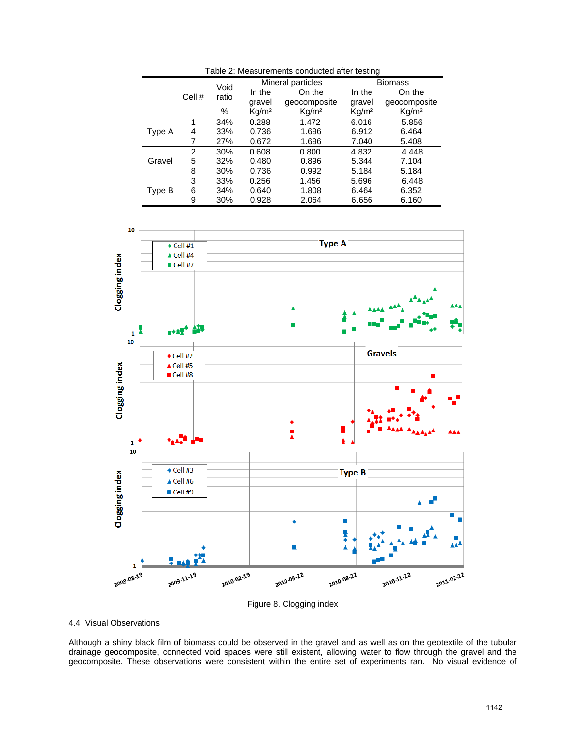| Table 2: Measurements conducted after testing |        |               |                   |                   |                   |                   |  |  |  |
|-----------------------------------------------|--------|---------------|-------------------|-------------------|-------------------|-------------------|--|--|--|
|                                               | Cell # | Void<br>ratio |                   | Mineral particles |                   | <b>Biomass</b>    |  |  |  |
|                                               |        |               | In the            | On the            | In the            | On the            |  |  |  |
|                                               |        |               | gravel            | geocomposite      | gravel            | geocomposite      |  |  |  |
|                                               |        | %             | Kq/m <sup>2</sup> | Kq/m <sup>2</sup> | Kq/m <sup>2</sup> | Kq/m <sup>2</sup> |  |  |  |
| Type A                                        |        | 34%           | 0.288             | 1.472             | 6.016             | 5.856             |  |  |  |
|                                               | 4      | 33%           | 0.736             | 1.696             | 6.912             | 6.464             |  |  |  |
|                                               |        | 27%           | 0.672             | 1.696             | 7.040             | 5.408             |  |  |  |
| Gravel                                        | 2      | 30%           | 0.608             | 0.800             | 4.832             | 4.448             |  |  |  |
|                                               | 5      | 32%           | 0.480             | 0.896             | 5.344             | 7.104             |  |  |  |
|                                               | 8      | 30%           | 0.736             | 0.992             | 5.184             | 5.184             |  |  |  |
| Type B                                        | 3      | 33%           | 0.256             | 1.456             | 5.696             | 6.448             |  |  |  |
|                                               | 6      | 34%           | 0.640             | 1.808             | 6.464             | 6.352             |  |  |  |
|                                               | 9      | 30%           | 0.928             | 2.064             | 6.656             | 6.160             |  |  |  |





#### 4.4 Visual Observations

Although a shiny black film of biomass could be observed in the gravel and as well as on the geotextile of the tubular drainage geocomposite, connected void spaces were still existent, allowing water to flow through the gravel and the geocomposite. These observations were consistent within the entire set of experiments ran. No visual evidence of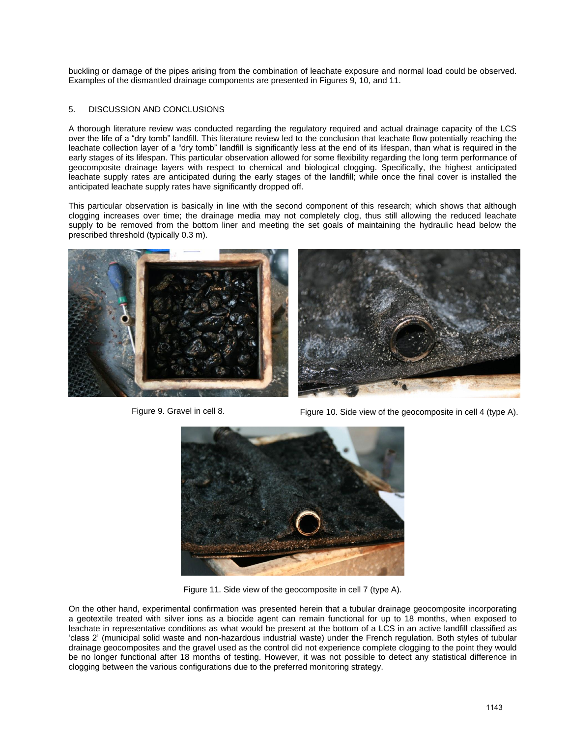buckling or damage of the pipes arising from the combination of leachate exposure and normal load could be observed. Examples of the dismantled drainage components are presented in Figures 9, 10, and 11.

# 5. DISCUSSION AND CONCLUSIONS

A thorough literature review was conducted regarding the regulatory required and actual drainage capacity of the LCS over the life of a "dry tomb" landfill. This literature review led to the conclusion that leachate flow potentially reaching the leachate collection layer of a "dry tomb" landfill is significantly less at the end of its lifespan, than what is required in the early stages of its lifespan. This particular observation allowed for some flexibility regarding the long term performance of geocomposite drainage layers with respect to chemical and biological clogging. Specifically, the highest anticipated leachate supply rates are anticipated during the early stages of the landfill; while once the final cover is installed the anticipated leachate supply rates have significantly dropped off.

This particular observation is basically in line with the second component of this research; which shows that although clogging increases over time; the drainage media may not completely clog, thus still allowing the reduced leachate supply to be removed from the bottom liner and meeting the set goals of maintaining the hydraulic head below the prescribed threshold (typically 0.3 m).





Figure 9. Gravel in cell 8. Figure 10. Side view of the geocomposite in cell 4 (type A).



Figure 11. Side view of the geocomposite in cell 7 (type A).

On the other hand, experimental confirmation was presented herein that a tubular drainage geocomposite incorporating a geotextile treated with silver ions as a biocide agent can remain functional for up to 18 months, when exposed to leachate in representative conditions as what would be present at the bottom of a LCS in an active landfill classified as 'class 2' (municipal solid waste and non-hazardous industrial waste) under the French regulation. Both styles of tubular drainage geocomposites and the gravel used as the control did not experience complete clogging to the point they would be no longer functional after 18 months of testing. However, it was not possible to detect any statistical difference in clogging between the various configurations due to the preferred monitoring strategy.